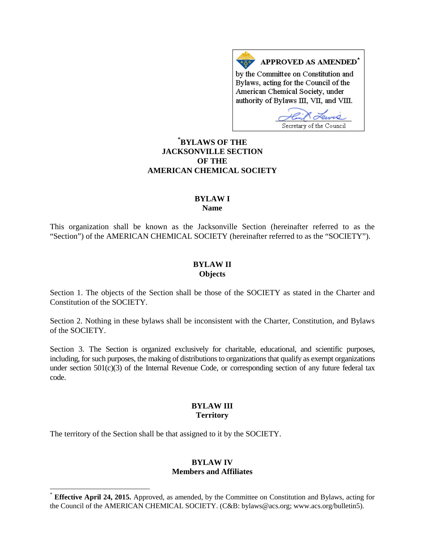APPROVED AS AMENDED<sup>\*</sup> by the Committee on Constitution and Bylaws, acting for the Council of the American Chemical Society, under authority of Bylaws III, VII, and VIII.

Secretary of the Council

# **[\\*](#page-0-0) BYLAWS OF THE JACKSONVILLE SECTION OF THE AMERICAN CHEMICAL SOCIETY**

#### **BYLAW I Name**

This organization shall be known as the Jacksonville Section (hereinafter referred to as the "Section") of the AMERICAN CHEMICAL SOCIETY (hereinafter referred to as the "SOCIETY").

#### **BYLAW II Objects**

Section 1. The objects of the Section shall be those of the SOCIETY as stated in the Charter and Constitution of the SOCIETY.

Section 2. Nothing in these bylaws shall be inconsistent with the Charter, Constitution, and Bylaws of the SOCIETY.

Section 3. The Section is organized exclusively for charitable, educational, and scientific purposes, including, for such purposes, the making of distributions to organizations that qualify as exempt organizations under section 501(c)(3) of the Internal Revenue Code, or corresponding section of any future federal tax code.

### **BYLAW III Territory**

The territory of the Section shall be that assigned to it by the SOCIETY.

## **BYLAW IV Members and Affiliates**

<span id="page-0-0"></span>**Effective April 24, 2015.** Approved, as amended, by the Committee on Constitution and Bylaws, acting for the Council of the AMERICAN CHEMICAL SOCIETY. (C&B: bylaws@acs.org; www.acs.org/bulletin5).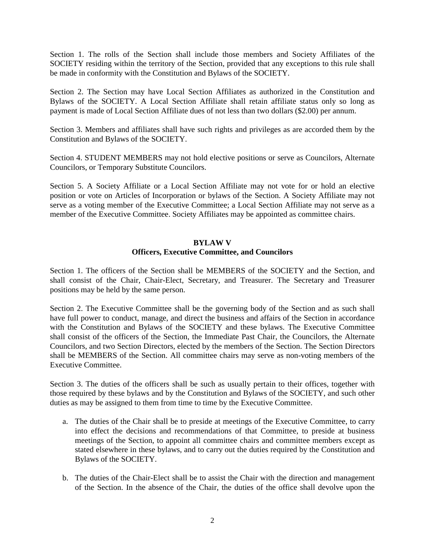Section 1. The rolls of the Section shall include those members and Society Affiliates of the SOCIETY residing within the territory of the Section, provided that any exceptions to this rule shall be made in conformity with the Constitution and Bylaws of the SOCIETY.

Section 2. The Section may have Local Section Affiliates as authorized in the Constitution and Bylaws of the SOCIETY. A Local Section Affiliate shall retain affiliate status only so long as payment is made of Local Section Affiliate dues of not less than two dollars (\$2.00) per annum.

Section 3. Members and affiliates shall have such rights and privileges as are accorded them by the Constitution and Bylaws of the SOCIETY.

Section 4. STUDENT MEMBERS may not hold elective positions or serve as Councilors, Alternate Councilors, or Temporary Substitute Councilors.

Section 5. A Society Affiliate or a Local Section Affiliate may not vote for or hold an elective position or vote on Articles of Incorporation or bylaws of the Section. A Society Affiliate may not serve as a voting member of the Executive Committee; a Local Section Affiliate may not serve as a member of the Executive Committee. Society Affiliates may be appointed as committee chairs.

### **BYLAW V**

### **Officers, Executive Committee, and Councilors**

Section 1. The officers of the Section shall be MEMBERS of the SOCIETY and the Section, and shall consist of the Chair, Chair-Elect, Secretary, and Treasurer. The Secretary and Treasurer positions may be held by the same person.

Section 2. The Executive Committee shall be the governing body of the Section and as such shall have full power to conduct, manage, and direct the business and affairs of the Section in accordance with the Constitution and Bylaws of the SOCIETY and these bylaws. The Executive Committee shall consist of the officers of the Section, the Immediate Past Chair, the Councilors, the Alternate Councilors, and two Section Directors, elected by the members of the Section. The Section Directors shall be MEMBERS of the Section. All committee chairs may serve as non-voting members of the Executive Committee.

Section 3. The duties of the officers shall be such as usually pertain to their offices, together with those required by these bylaws and by the Constitution and Bylaws of the SOCIETY, and such other duties as may be assigned to them from time to time by the Executive Committee.

- a. The duties of the Chair shall be to preside at meetings of the Executive Committee, to carry into effect the decisions and recommendations of that Committee, to preside at business meetings of the Section, to appoint all committee chairs and committee members except as stated elsewhere in these bylaws, and to carry out the duties required by the Constitution and Bylaws of the SOCIETY.
- b. The duties of the Chair-Elect shall be to assist the Chair with the direction and management of the Section. In the absence of the Chair, the duties of the office shall devolve upon the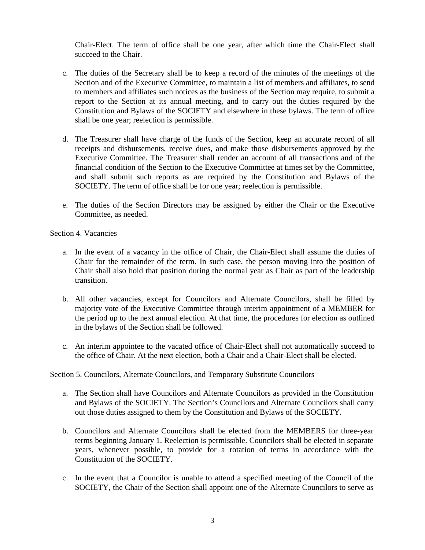Chair-Elect. The term of office shall be one year, after which time the Chair-Elect shall succeed to the Chair.

- c. The duties of the Secretary shall be to keep a record of the minutes of the meetings of the Section and of the Executive Committee, to maintain a list of members and affiliates, to send to members and affiliates such notices as the business of the Section may require, to submit a report to the Section at its annual meeting, and to carry out the duties required by the Constitution and Bylaws of the SOCIETY and elsewhere in these bylaws. The term of office shall be one year; reelection is permissible.
- d. The Treasurer shall have charge of the funds of the Section, keep an accurate record of all receipts and disbursements, receive dues, and make those disbursements approved by the Executive Committee. The Treasurer shall render an account of all transactions and of the financial condition of the Section to the Executive Committee at times set by the Committee, and shall submit such reports as are required by the Constitution and Bylaws of the SOCIETY. The term of office shall be for one year; reelection is permissible.
- e. The duties of the Section Directors may be assigned by either the Chair or the Executive Committee, as needed.

Section 4. Vacancies

- a. In the event of a vacancy in the office of Chair, the Chair-Elect shall assume the duties of Chair for the remainder of the term. In such case, the person moving into the position of Chair shall also hold that position during the normal year as Chair as part of the leadership transition.
- b. All other vacancies, except for Councilors and Alternate Councilors, shall be filled by majority vote of the Executive Committee through interim appointment of a MEMBER for the period up to the next annual election. At that time, the procedures for election as outlined in the bylaws of the Section shall be followed.
- c. An interim appointee to the vacated office of Chair-Elect shall not automatically succeed to the office of Chair. At the next election, both a Chair and a Chair-Elect shall be elected.

Section 5. Councilors, Alternate Councilors, and Temporary Substitute Councilors

- a. The Section shall have Councilors and Alternate Councilors as provided in the Constitution and Bylaws of the SOCIETY. The Section's Councilors and Alternate Councilors shall carry out those duties assigned to them by the Constitution and Bylaws of the SOCIETY.
- b. Councilors and Alternate Councilors shall be elected from the MEMBERS for three-year terms beginning January 1. Reelection is permissible. Councilors shall be elected in separate years, whenever possible, to provide for a rotation of terms in accordance with the Constitution of the SOCIETY.
- c. In the event that a Councilor is unable to attend a specified meeting of the Council of the SOCIETY, the Chair of the Section shall appoint one of the Alternate Councilors to serve as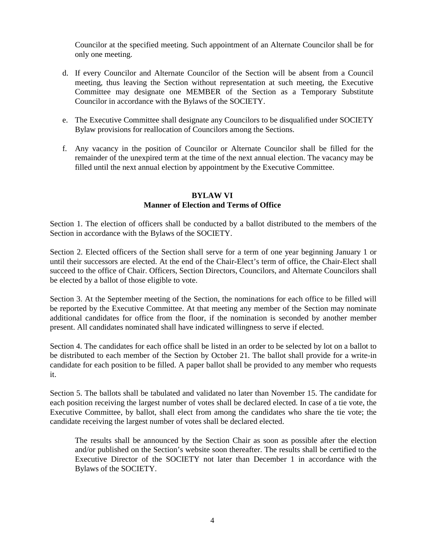Councilor at the specified meeting. Such appointment of an Alternate Councilor shall be for only one meeting.

- d. If every Councilor and Alternate Councilor of the Section will be absent from a Council meeting, thus leaving the Section without representation at such meeting, the Executive Committee may designate one MEMBER of the Section as a Temporary Substitute Councilor in accordance with the Bylaws of the SOCIETY.
- e. The Executive Committee shall designate any Councilors to be disqualified under SOCIETY Bylaw provisions for reallocation of Councilors among the Sections.
- f. Any vacancy in the position of Councilor or Alternate Councilor shall be filled for the remainder of the unexpired term at the time of the next annual election. The vacancy may be filled until the next annual election by appointment by the Executive Committee.

## **BYLAW VI Manner of Election and Terms of Office**

Section 1. The election of officers shall be conducted by a ballot distributed to the members of the Section in accordance with the Bylaws of the SOCIETY.

Section 2. Elected officers of the Section shall serve for a term of one year beginning January 1 or until their successors are elected. At the end of the Chair-Elect's term of office, the Chair-Elect shall succeed to the office of Chair. Officers, Section Directors, Councilors, and Alternate Councilors shall be elected by a ballot of those eligible to vote.

Section 3. At the September meeting of the Section, the nominations for each office to be filled will be reported by the Executive Committee. At that meeting any member of the Section may nominate additional candidates for office from the floor, if the nomination is seconded by another member present. All candidates nominated shall have indicated willingness to serve if elected.

Section 4. The candidates for each office shall be listed in an order to be selected by lot on a ballot to be distributed to each member of the Section by October 21. The ballot shall provide for a write-in candidate for each position to be filled. A paper ballot shall be provided to any member who requests it.

Section 5. The ballots shall be tabulated and validated no later than November 15. The candidate for each position receiving the largest number of votes shall be declared elected. In case of a tie vote, the Executive Committee, by ballot, shall elect from among the candidates who share the tie vote; the candidate receiving the largest number of votes shall be declared elected.

The results shall be announced by the Section Chair as soon as possible after the election and/or published on the Section's website soon thereafter. The results shall be certified to the Executive Director of the SOCIETY not later than December 1 in accordance with the Bylaws of the SOCIETY.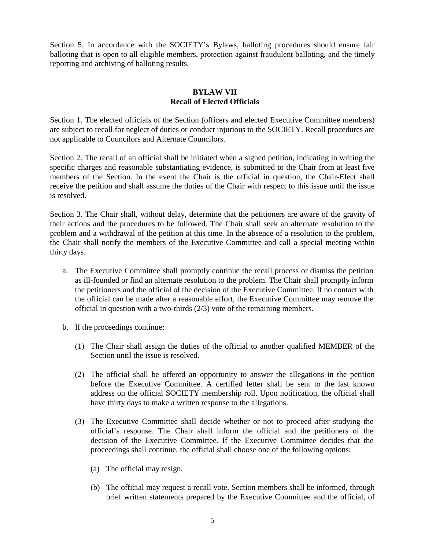Section 5. In accordance with the SOCIETY's Bylaws, balloting procedures should ensure fair balloting that is open to all eligible members, protection against fraudulent balloting, and the timely reporting and archiving of balloting results.

## **BYLAW VII Recall of Elected Officials**

Section 1. The elected officials of the Section (officers and elected Executive Committee members) are subject to recall for neglect of duties or conduct injurious to the SOCIETY. Recall procedures are not applicable to Councilors and Alternate Councilors.

Section 2. The recall of an official shall be initiated when a signed petition, indicating in writing the specific charges and reasonable substantiating evidence, is submitted to the Chair from at least five members of the Section. In the event the Chair is the official in question, the Chair-Elect shall receive the petition and shall assume the duties of the Chair with respect to this issue until the issue is resolved.

Section 3. The Chair shall, without delay, determine that the petitioners are aware of the gravity of their actions and the procedures to be followed. The Chair shall seek an alternate resolution to the problem and a withdrawal of the petition at this time. In the absence of a resolution to the problem, the Chair shall notify the members of the Executive Committee and call a special meeting within thirty days.

- a. The Executive Committee shall promptly continue the recall process or dismiss the petition as ill-founded or find an alternate resolution to the problem. The Chair shall promptly inform the petitioners and the official of the decision of the Executive Committee. If no contact with the official can be made after a reasonable effort, the Executive Committee may remove the official in question with a two-thirds (2/3) vote of the remaining members.
- b. If the proceedings continue:
	- (1) The Chair shall assign the duties of the official to another qualified MEMBER of the Section until the issue is resolved.
	- (2) The official shall be offered an opportunity to answer the allegations in the petition before the Executive Committee. A certified letter shall be sent to the last known address on the official SOCIETY membership roll. Upon notification, the official shall have thirty days to make a written response to the allegations.
	- (3) The Executive Committee shall decide whether or not to proceed after studying the official's response. The Chair shall inform the official and the petitioners of the decision of the Executive Committee. If the Executive Committee decides that the proceedings shall continue, the official shall choose one of the following options:
		- (a) The official may resign.
		- (b) The official may request a recall vote. Section members shall be informed, through brief written statements prepared by the Executive Committee and the official, of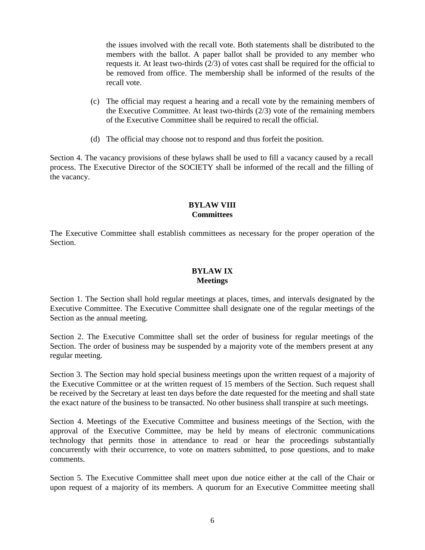the issues involved with the recall vote. Both statements shall be distributed to the members with the ballot. A paper ballot shall be provided to any member who requests it. At least two-thirds (2/3) of votes cast shall be required for the official to be removed from office. The membership shall be informed of the results of the recall vote.

- (c) The official may request a hearing and a recall vote by the remaining members of the Executive Committee. At least two-thirds (2/3) vote of the remaining members of the Executive Committee shall be required to recall the official.
- (d) The official may choose not to respond and thus forfeit the position.

Section 4. The vacancy provisions of these bylaws shall be used to fill a vacancy caused by a recall process. The Executive Director of the SOCIETY shall be informed of the recall and the filling of the vacancy.

## **BYLAW VIII Committees**

The Executive Committee shall establish committees as necessary for the proper operation of the Section.

# **BYLAW IX Meetings**

Section 1. The Section shall hold regular meetings at places, times, and intervals designated by the Executive Committee. The Executive Committee shall designate one of the regular meetings of the Section as the annual meeting.

Section 2. The Executive Committee shall set the order of business for regular meetings of the Section. The order of business may be suspended by a majority vote of the members present at any regular meeting.

Section 3. The Section may hold special business meetings upon the written request of a majority of the Executive Committee or at the written request of 15 members of the Section. Such request shall be received by the Secretary at least ten days before the date requested for the meeting and shall state the exact nature of the business to be transacted. No other business shall transpire at such meetings.

Section 4. Meetings of the Executive Committee and business meetings of the Section, with the approval of the Executive Committee, may be held by means of electronic communications technology that permits those in attendance to read or hear the proceedings substantially concurrently with their occurrence, to vote on matters submitted, to pose questions, and to make comments.

Section 5. The Executive Committee shall meet upon due notice either at the call of the Chair or upon request of a majority of its members. A quorum for an Executive Committee meeting shall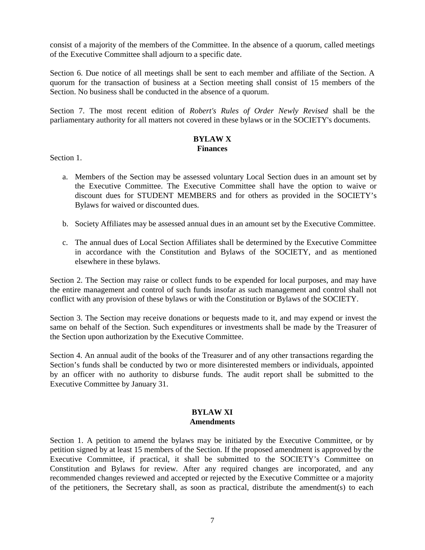consist of a majority of the members of the Committee. In the absence of a quorum, called meetings of the Executive Committee shall adjourn to a specific date.

Section 6. Due notice of all meetings shall be sent to each member and affiliate of the Section. A quorum for the transaction of business at a Section meeting shall consist of 15 members of the Section. No business shall be conducted in the absence of a quorum.

Section 7. The most recent edition of *Robert's Rules of Order Newly Revised* shall be the parliamentary authority for all matters not covered in these bylaws or in the SOCIETY's documents.

# **BYLAW X Finances**

Section 1.

- a. Members of the Section may be assessed voluntary Local Section dues in an amount set by the Executive Committee. The Executive Committee shall have the option to waive or discount dues for STUDENT MEMBERS and for others as provided in the SOCIETY's Bylaws for waived or discounted dues.
- b. Society Affiliates may be assessed annual dues in an amount set by the Executive Committee.
- c. The annual dues of Local Section Affiliates shall be determined by the Executive Committee in accordance with the Constitution and Bylaws of the SOCIETY, and as mentioned elsewhere in these bylaws.

Section 2. The Section may raise or collect funds to be expended for local purposes, and may have the entire management and control of such funds insofar as such management and control shall not conflict with any provision of these bylaws or with the Constitution or Bylaws of the SOCIETY.

Section 3. The Section may receive donations or bequests made to it, and may expend or invest the same on behalf of the Section. Such expenditures or investments shall be made by the Treasurer of the Section upon authorization by the Executive Committee.

Section 4. An annual audit of the books of the Treasurer and of any other transactions regarding the Section's funds shall be conducted by two or more disinterested members or individuals, appointed by an officer with no authority to disburse funds. The audit report shall be submitted to the Executive Committee by January 31.

### **BYLAW XI Amendments**

Section 1. A petition to amend the bylaws may be initiated by the Executive Committee, or by petition signed by at least 15 members of the Section. If the proposed amendment is approved by the Executive Committee, if practical, it shall be submitted to the SOCIETY's Committee on Constitution and Bylaws for review. After any required changes are incorporated, and any recommended changes reviewed and accepted or rejected by the Executive Committee or a majority of the petitioners, the Secretary shall, as soon as practical, distribute the amendment(s) to each